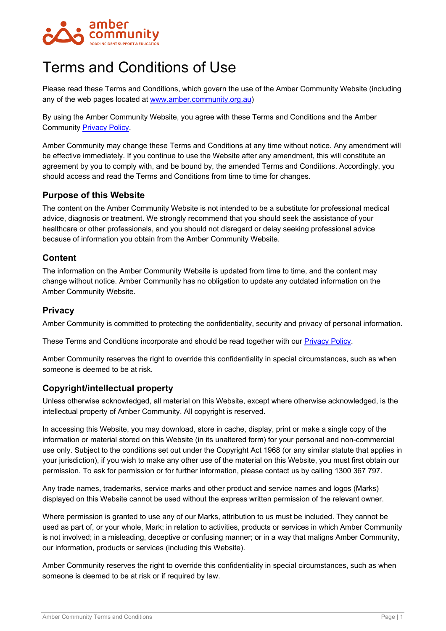

# Terms and Conditions of Use

Please read these Terms and Conditions, which govern the use of the Amber Community Website (including any of the web pages located at [www.amber.community.org.au\)](http://www.amber.community.org.au/)

By using the Amber Community Website, you agree with these Terms and Conditions and the Amber Community [Privacy Policy.](https://ambercommunity.org.au/wp-content/uploads/RTSSV_PrivacyPolicy.pdf)

Amber Community may change these Terms and Conditions at any time without notice. Any amendment will be effective immediately. If you continue to use the Website after any amendment, this will constitute an agreement by you to comply with, and be bound by, the amended Terms and Conditions. Accordingly, you should access and read the Terms and Conditions from time to time for changes.

## **Purpose of this Website**

The content on the Amber Community Website is not intended to be a substitute for professional medical advice, diagnosis or treatment. We strongly recommend that you should seek the assistance of your healthcare or other professionals, and you should not disregard or delay seeking professional advice because of information you obtain from the Amber Community Website.

## **Content**

The information on the Amber Community Website is updated from time to time, and the content may change without notice. Amber Community has no obligation to update any outdated information on the Amber Community Website.

# **Privacy**

Amber Community is committed to protecting the confidentiality, security and privacy of personal information.

These Terms and Conditions incorporate and should be read together with our [Privacy Policy.](https://ambercommunity.org.au/wp-content/uploads/RTSSV_PrivacyPolicy.pdf)

Amber Community reserves the right to override this confidentiality in special circumstances, such as when someone is deemed to be at risk.

# **Copyright/intellectual property**

Unless otherwise acknowledged, all material on this Website, except where otherwise acknowledged, is the intellectual property of Amber Community. All copyright is reserved.

In accessing this Website, you may download, store in cache, display, print or make a single copy of the information or material stored on this Website (in its unaltered form) for your personal and non-commercial use only. Subject to the conditions set out under the Copyright Act 1968 (or any similar statute that applies in your jurisdiction), if you wish to make any other use of the material on this Website, you must first obtain our permission. To ask for permission or for further information, please contact us by calling 1300 367 797.

Any trade names, trademarks, service marks and other product and service names and logos (Marks) displayed on this Website cannot be used without the express written permission of the relevant owner.

Where permission is granted to use any of our Marks, attribution to us must be included. They cannot be used as part of, or your whole, Mark; in relation to activities, products or services in which Amber Community is not involved; in a misleading, deceptive or confusing manner; or in a way that maligns Amber Community, our information, products or services (including this Website).

Amber Community reserves the right to override this confidentiality in special circumstances, such as when someone is deemed to be at risk or if required by law.